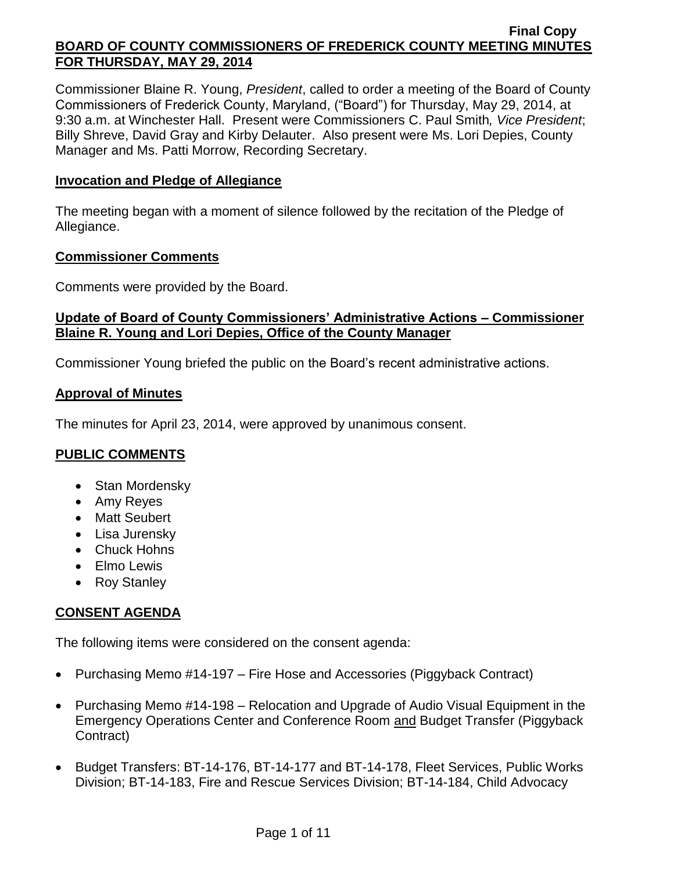Commissioner Blaine R. Young, *President*, called to order a meeting of the Board of County Commissioners of Frederick County, Maryland, ("Board") for Thursday, May 29, 2014, at 9:30 a.m. at Winchester Hall. Present were Commissioners C. Paul Smith*, Vice President*; Billy Shreve, David Gray and Kirby Delauter. Also present were Ms. Lori Depies, County Manager and Ms. Patti Morrow, Recording Secretary.

## **Invocation and Pledge of Allegiance**

The meeting began with a moment of silence followed by the recitation of the Pledge of Allegiance.

#### **Commissioner Comments**

Comments were provided by the Board.

# **Update of Board of County Commissioners' Administrative Actions – Commissioner Blaine R. Young and Lori Depies, Office of the County Manager**

Commissioner Young briefed the public on the Board's recent administrative actions.

### **Approval of Minutes**

The minutes for April 23, 2014, were approved by unanimous consent.

## **PUBLIC COMMENTS**

- Stan Mordensky
- Amy Reyes
- Matt Seubert
- Lisa Jurensky
- Chuck Hohns
- Elmo Lewis
- Roy Stanley

# **CONSENT AGENDA**

The following items were considered on the consent agenda:

- Purchasing Memo #14-197 Fire Hose and Accessories (Piggyback Contract)
- Purchasing Memo #14-198 Relocation and Upgrade of Audio Visual Equipment in the Emergency Operations Center and Conference Room and Budget Transfer (Piggyback Contract)
- Budget Transfers: BT-14-176, BT-14-177 and BT-14-178, Fleet Services, Public Works Division; BT-14-183, Fire and Rescue Services Division; BT-14-184, Child Advocacy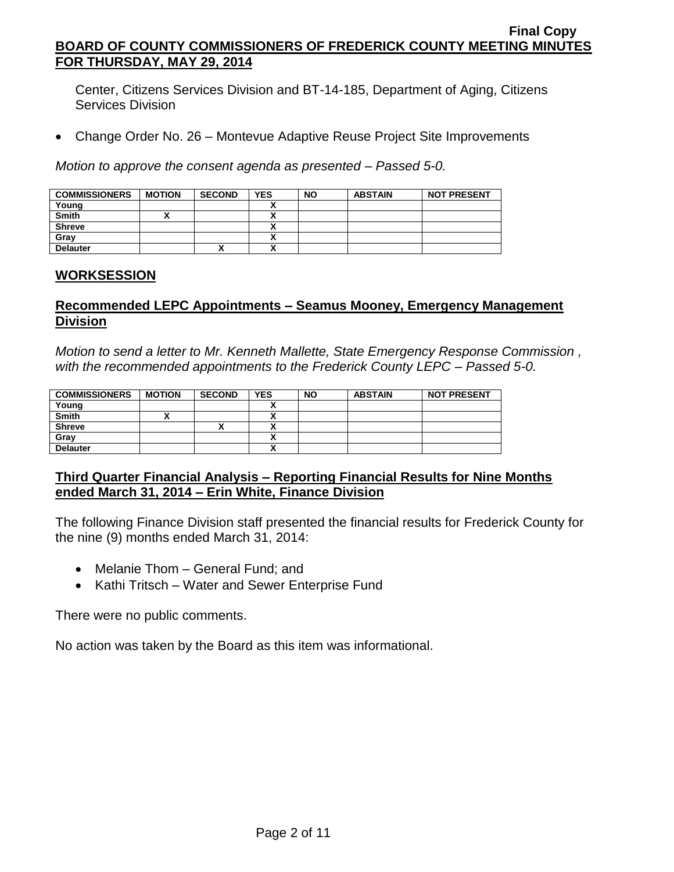Center, Citizens Services Division and BT-14-185, Department of Aging, Citizens Services Division

Change Order No. 26 – Montevue Adaptive Reuse Project Site Improvements

*Motion to approve the consent agenda as presented – Passed 5-0.*

| <b>COMMISSIONERS</b> | <b>MOTION</b> | <b>SECOND</b> | <b>YES</b> | <b>NO</b> | <b>ABSTAIN</b> | <b>NOT PRESENT</b> |
|----------------------|---------------|---------------|------------|-----------|----------------|--------------------|
| Young                |               |               |            |           |                |                    |
| <b>Smith</b>         |               |               |            |           |                |                    |
| <b>Shreve</b>        |               |               |            |           |                |                    |
| Grav                 |               |               |            |           |                |                    |
| <b>Delauter</b>      |               | Λ             |            |           |                |                    |

### **WORKSESSION**

### **Recommended LEPC Appointments – Seamus Mooney, Emergency Management Division**

*Motion to send a letter to Mr. Kenneth Mallette, State Emergency Response Commission , with the recommended appointments to the Frederick County LEPC – Passed 5-0.*

| <b>COMMISSIONERS</b> | <b>MOTION</b> | <b>SECOND</b> | <b>YES</b> | <b>NO</b> | <b>ABSTAIN</b> | <b>NOT PRESENT</b> |
|----------------------|---------------|---------------|------------|-----------|----------------|--------------------|
| Young                |               |               |            |           |                |                    |
| <b>Smith</b>         |               |               | ↗          |           |                |                    |
| <b>Shreve</b>        |               | "             |            |           |                |                    |
| Gray                 |               |               | ↗          |           |                |                    |
| <b>Delauter</b>      |               |               |            |           |                |                    |

### **Third Quarter Financial Analysis – Reporting Financial Results for Nine Months ended March 31, 2014 – Erin White, Finance Division**

The following Finance Division staff presented the financial results for Frederick County for the nine (9) months ended March 31, 2014:

- Melanie Thom General Fund; and
- Kathi Tritsch Water and Sewer Enterprise Fund

There were no public comments.

No action was taken by the Board as this item was informational.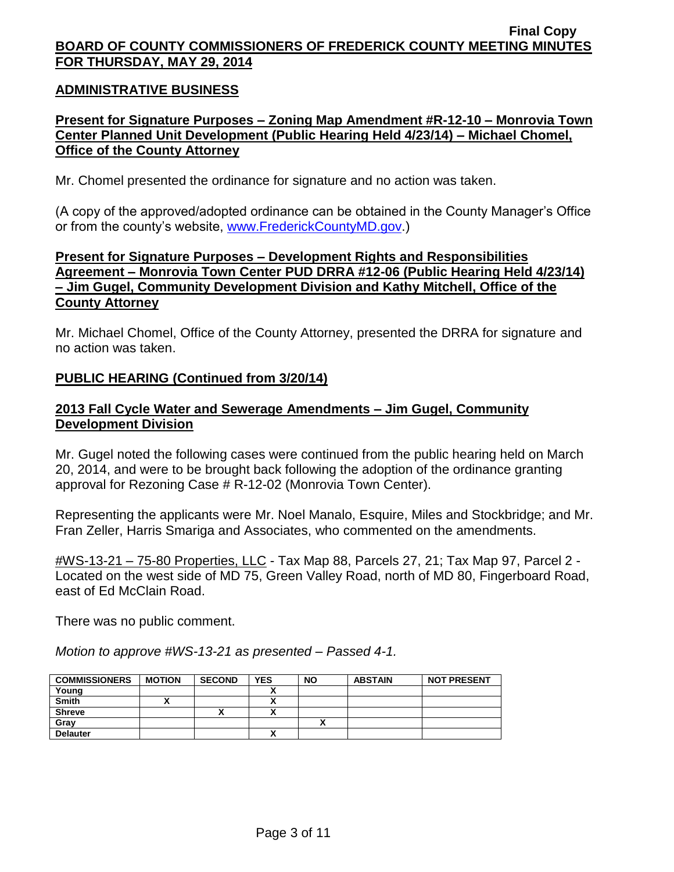### **ADMINISTRATIVE BUSINESS**

## **Present for Signature Purposes – Zoning Map Amendment #R-12-10 – Monrovia Town Center Planned Unit Development (Public Hearing Held 4/23/14) – Michael Chomel, Office of the County Attorney**

Mr. Chomel presented the ordinance for signature and no action was taken.

(A copy of the approved/adopted ordinance can be obtained in the County Manager's Office or from the county's website, [www.FrederickCountyMD.gov.](http://www.frederickcountymd.gov/))

## **Present for Signature Purposes – Development Rights and Responsibilities Agreement – Monrovia Town Center PUD DRRA #12-06 (Public Hearing Held 4/23/14) – Jim Gugel, Community Development Division and Kathy Mitchell, Office of the County Attorney**

Mr. Michael Chomel, Office of the County Attorney, presented the DRRA for signature and no action was taken.

### **PUBLIC HEARING (Continued from 3/20/14)**

### **2013 Fall Cycle Water and Sewerage Amendments – Jim Gugel, Community Development Division**

Mr. Gugel noted the following cases were continued from the public hearing held on March 20, 2014, and were to be brought back following the adoption of the ordinance granting approval for Rezoning Case # R-12-02 (Monrovia Town Center).

Representing the applicants were Mr. Noel Manalo, Esquire, Miles and Stockbridge; and Mr. Fran Zeller, Harris Smariga and Associates, who commented on the amendments.

#WS-13-21 – 75-80 Properties, LLC - Tax Map 88, Parcels 27, 21; Tax Map 97, Parcel 2 - Located on the west side of MD 75, Green Valley Road, north of MD 80, Fingerboard Road, east of Ed McClain Road.

There was no public comment.

*Motion to approve #WS-13-21 as presented – Passed 4-1.*

| <b>COMMISSIONERS</b> | <b>MOTION</b> | <b>SECOND</b> | <b>YES</b> | <b>NO</b> | <b>ABSTAIN</b> | <b>NOT PRESENT</b> |
|----------------------|---------------|---------------|------------|-----------|----------------|--------------------|
| Young                |               |               |            |           |                |                    |
| <b>Smith</b>         |               |               |            |           |                |                    |
| <b>Shreve</b>        |               | Λ             |            |           |                |                    |
| Gray                 |               |               |            |           |                |                    |
| <b>Delauter</b>      |               |               |            |           |                |                    |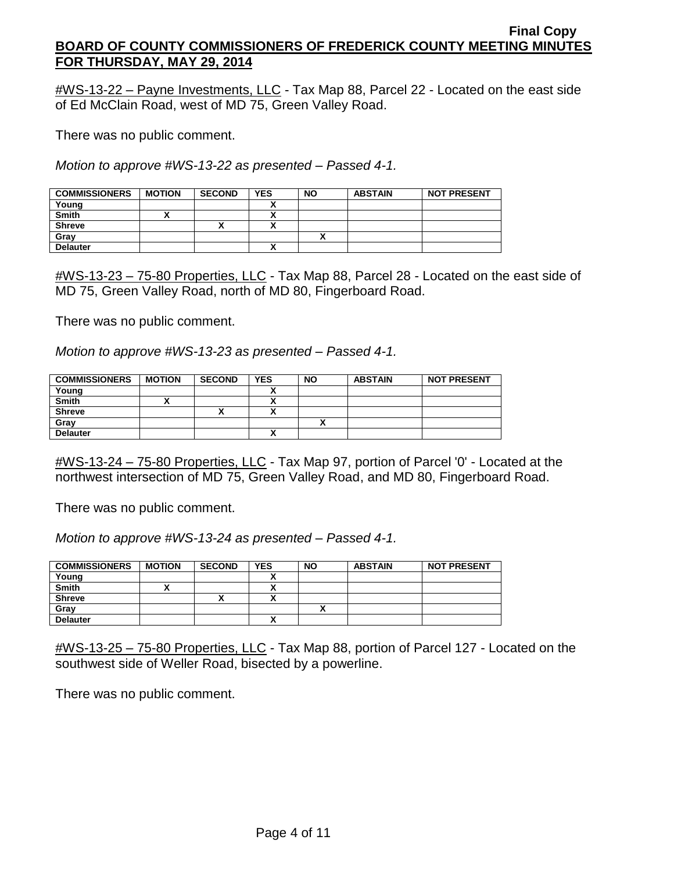$\text{\#WS-13-22}$  – Payne Investments, LLC - Tax Map 88, Parcel 22 - Located on the east side of Ed McClain Road, west of MD 75, Green Valley Road.

There was no public comment.

*Motion to approve #WS-13-22 as presented – Passed 4-1.*

| <b>COMMISSIONERS</b> | <b>MOTION</b> | <b>SECOND</b> | <b>YES</b> | <b>NO</b> | <b>ABSTAIN</b> | <b>NOT PRESENT</b> |
|----------------------|---------------|---------------|------------|-----------|----------------|--------------------|
| Young                |               |               |            |           |                |                    |
| <b>Smith</b>         |               |               |            |           |                |                    |
| <b>Shreve</b>        |               | ́             |            |           |                |                    |
| Gray                 |               |               |            |           |                |                    |
| <b>Delauter</b>      |               |               |            |           |                |                    |

#WS-13-23 – 75-80 Properties, LLC - Tax Map 88, Parcel 28 - Located on the east side of MD 75, Green Valley Road, north of MD 80, Fingerboard Road.

There was no public comment.

*Motion to approve #WS-13-23 as presented – Passed 4-1.*

| <b>COMMISSIONERS</b> | <b>MOTION</b> | <b>SECOND</b> | <b>YES</b> | <b>NO</b> | <b>ABSTAIN</b> | <b>NOT PRESENT</b> |
|----------------------|---------------|---------------|------------|-----------|----------------|--------------------|
| Young                |               |               |            |           |                |                    |
| <b>Smith</b>         |               |               |            |           |                |                    |
| <b>Shreve</b>        |               |               |            |           |                |                    |
| Gray                 |               |               |            |           |                |                    |
| <b>Delauter</b>      |               |               |            |           |                |                    |

#WS-13-24 – 75-80 Properties, LLC - Tax Map 97, portion of Parcel '0' - Located at the northwest intersection of MD 75, Green Valley Road, and MD 80, Fingerboard Road.

There was no public comment.

*Motion to approve #WS-13-24 as presented – Passed 4-1.*

| <b>COMMISSIONERS</b> | <b>MOTION</b> | <b>SECOND</b> | <b>YES</b> | <b>NO</b> | <b>ABSTAIN</b> | <b>NOT PRESENT</b> |
|----------------------|---------------|---------------|------------|-----------|----------------|--------------------|
| Young                |               |               |            |           |                |                    |
| <b>Smith</b>         |               |               |            |           |                |                    |
| <b>Shreve</b>        |               |               |            |           |                |                    |
| Gray                 |               |               |            |           |                |                    |
| <b>Delauter</b>      |               |               |            |           |                |                    |

#WS-13-25 – 75-80 Properties, LLC - Tax Map 88, portion of Parcel 127 - Located on the southwest side of Weller Road, bisected by a powerline.

There was no public comment.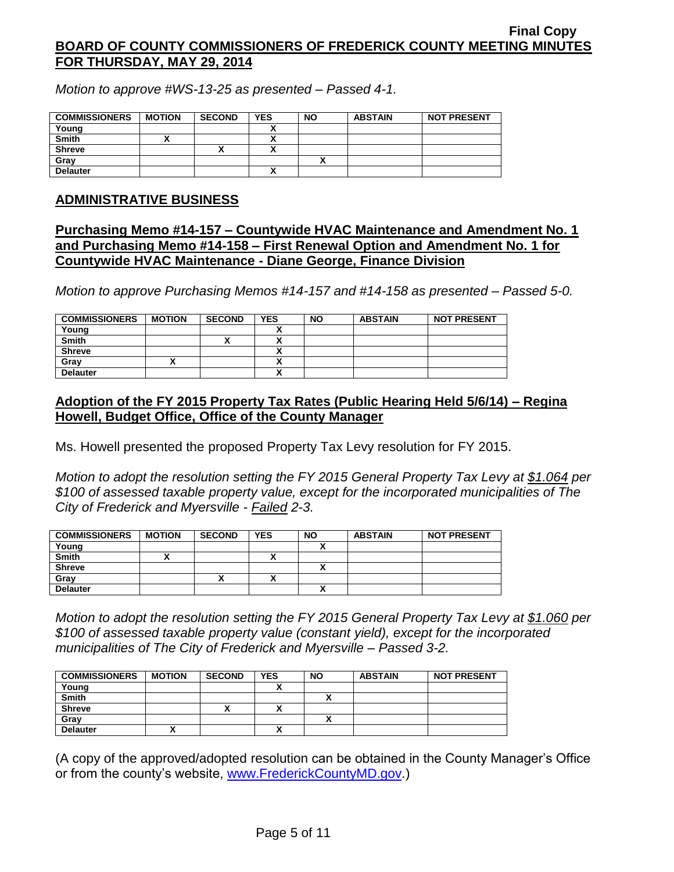*Motion to approve #WS-13-25 as presented – Passed 4-1.*

| <b>COMMISSIONERS</b> | <b>MOTION</b> | <b>SECOND</b> | <b>YES</b> | <b>NO</b> | <b>ABSTAIN</b> | <b>NOT PRESENT</b> |
|----------------------|---------------|---------------|------------|-----------|----------------|--------------------|
| Young                |               |               |            |           |                |                    |
| <b>Smith</b>         |               |               |            |           |                |                    |
| <b>Shreve</b>        |               | ,,            |            |           |                |                    |
| Gray                 |               |               |            |           |                |                    |
| <b>Delauter</b>      |               |               |            |           |                |                    |

#### **ADMINISTRATIVE BUSINESS**

## **Purchasing Memo #14-157 – Countywide HVAC Maintenance and Amendment No. 1 and Purchasing Memo #14-158 – First Renewal Option and Amendment No. 1 for Countywide HVAC Maintenance - Diane George, Finance Division**

*Motion to approve Purchasing Memos #14-157 and #14-158 as presented – Passed 5-0.*

| <b>COMMISSIONERS</b> | <b>MOTION</b> | <b>SECOND</b> | <b>YES</b> | <b>NO</b> | <b>ABSTAIN</b> | <b>NOT PRESENT</b> |
|----------------------|---------------|---------------|------------|-----------|----------------|--------------------|
| Young                |               |               |            |           |                |                    |
| <b>Smith</b>         |               | ^             |            |           |                |                    |
| <b>Shreve</b>        |               |               |            |           |                |                    |
| Gray                 |               |               |            |           |                |                    |
| <b>Delauter</b>      |               |               |            |           |                |                    |

# **Adoption of the FY 2015 Property Tax Rates (Public Hearing Held 5/6/14) – Regina Howell, Budget Office, Office of the County Manager**

Ms. Howell presented the proposed Property Tax Levy resolution for FY 2015.

*Motion to adopt the resolution setting the FY 2015 General Property Tax Levy at \$1.064 per \$100 of assessed taxable property value, except for the incorporated municipalities of The City of Frederick and Myersville - Failed 2-3.*

| <b>COMMISSIONERS</b> | <b>MOTION</b> | <b>SECOND</b> | <b>YES</b> | <b>NO</b> | <b>ABSTAIN</b> | <b>NOT PRESENT</b> |
|----------------------|---------------|---------------|------------|-----------|----------------|--------------------|
| Young                |               |               |            |           |                |                    |
| <b>Smith</b>         |               |               | ٠.         |           |                |                    |
| <b>Shreve</b>        |               |               |            |           |                |                    |
| Gray                 |               | "             | ٠.<br>^    |           |                |                    |
| <b>Delauter</b>      |               |               |            |           |                |                    |

*Motion to adopt the resolution setting the FY 2015 General Property Tax Levy at \$1.060 per \$100 of assessed taxable property value (constant yield), except for the incorporated municipalities of The City of Frederick and Myersville – Passed 3-2.*

| <b>COMMISSIONERS</b> | <b>MOTION</b> | <b>SECOND</b> | <b>YES</b> | <b>NO</b> | <b>ABSTAIN</b> | <b>NOT PRESENT</b> |
|----------------------|---------------|---------------|------------|-----------|----------------|--------------------|
| Young                |               |               |            |           |                |                    |
| <b>Smith</b>         |               |               |            |           |                |                    |
| <b>Shreve</b>        |               | ~             |            |           |                |                    |
| Grav                 |               |               |            |           |                |                    |
| <b>Delauter</b>      |               |               |            |           |                |                    |

(A copy of the approved/adopted resolution can be obtained in the County Manager's Office or from the county's website, [www.FrederickCountyMD.gov.](http://www.frederickcountymd.gov/))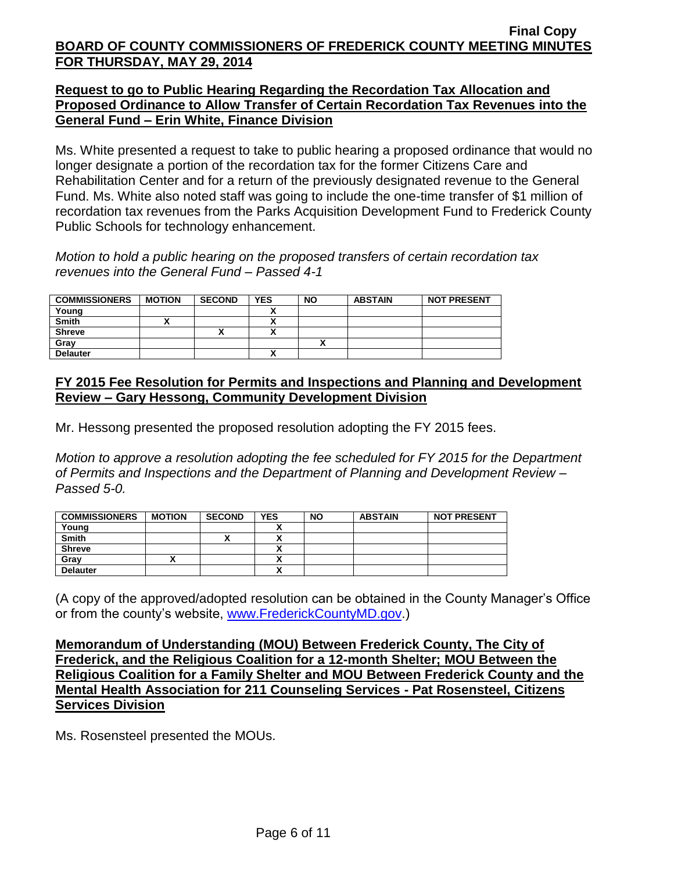## **Request to go to Public Hearing Regarding the Recordation Tax Allocation and Proposed Ordinance to Allow Transfer of Certain Recordation Tax Revenues into the General Fund – Erin White, Finance Division**

Ms. White presented a request to take to public hearing a proposed ordinance that would no longer designate a portion of the recordation tax for the former Citizens Care and Rehabilitation Center and for a return of the previously designated revenue to the General Fund. Ms. White also noted staff was going to include the one-time transfer of \$1 million of recordation tax revenues from the Parks Acquisition Development Fund to Frederick County Public Schools for technology enhancement.

*Motion to hold a public hearing on the proposed transfers of certain recordation tax revenues into the General Fund – Passed 4-1*

| <b>COMMISSIONERS</b> | <b>MOTION</b> | <b>SECOND</b> | <b>YES</b> | <b>NO</b> | <b>ABSTAIN</b> | <b>NOT PRESENT</b> |
|----------------------|---------------|---------------|------------|-----------|----------------|--------------------|
| Young                |               |               |            |           |                |                    |
| <b>Smith</b>         |               |               |            |           |                |                    |
| <b>Shreve</b>        |               | "             |            |           |                |                    |
| Gray                 |               |               |            |           |                |                    |
| <b>Delauter</b>      |               |               |            |           |                |                    |

# **FY 2015 Fee Resolution for Permits and Inspections and Planning and Development Review – Gary Hessong, Community Development Division**

Mr. Hessong presented the proposed resolution adopting the FY 2015 fees.

*Motion to approve a resolution adopting the fee scheduled for FY 2015 for the Department of Permits and Inspections and the Department of Planning and Development Review – Passed 5-0.*

| <b>COMMISSIONERS</b> | <b>MOTION</b> | <b>SECOND</b> | <b>YES</b> | <b>NO</b> | <b>ABSTAIN</b> | <b>NOT PRESENT</b> |
|----------------------|---------------|---------------|------------|-----------|----------------|--------------------|
| Young                |               |               |            |           |                |                    |
| Smith                |               | ↗             |            |           |                |                    |
| <b>Shreve</b>        |               |               |            |           |                |                    |
| Grav                 | "             |               | Δ          |           |                |                    |
| <b>Delauter</b>      |               |               |            |           |                |                    |

(A copy of the approved/adopted resolution can be obtained in the County Manager's Office or from the county's website, [www.FrederickCountyMD.gov.](http://www.frederickcountymd.gov/))

**Memorandum of Understanding (MOU) Between Frederick County, The City of Frederick, and the Religious Coalition for a 12-month Shelter; MOU Between the Religious Coalition for a Family Shelter and MOU Between Frederick County and the Mental Health Association for 211 Counseling Services - Pat Rosensteel, Citizens Services Division**

Ms. Rosensteel presented the MOUs.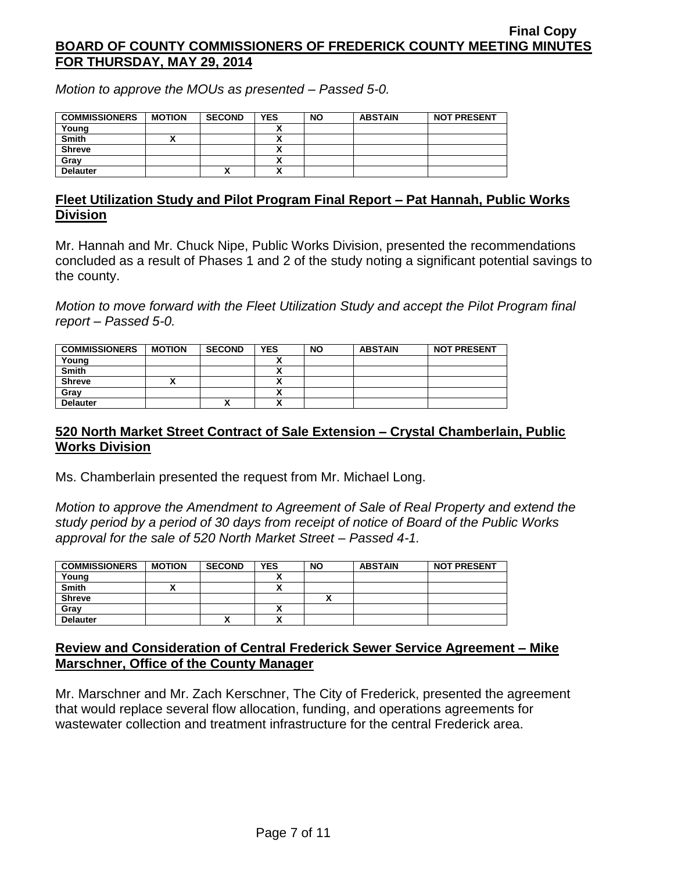*Motion to approve the MOUs as presented – Passed 5-0.*

| <b>COMMISSIONERS</b> | <b>MOTION</b> | <b>SECOND</b> | <b>YES</b> | <b>NO</b> | <b>ABSTAIN</b> | <b>NOT PRESENT</b> |
|----------------------|---------------|---------------|------------|-----------|----------------|--------------------|
| Young                |               |               |            |           |                |                    |
| Smith                |               |               |            |           |                |                    |
| Shreve               |               |               |            |           |                |                    |
| Grav                 |               |               |            |           |                |                    |
| <b>Delauter</b>      |               | Λ             |            |           |                |                    |

### **Fleet Utilization Study and Pilot Program Final Report – Pat Hannah, Public Works Division**

Mr. Hannah and Mr. Chuck Nipe, Public Works Division, presented the recommendations concluded as a result of Phases 1 and 2 of the study noting a significant potential savings to the county.

*Motion to move forward with the Fleet Utilization Study and accept the Pilot Program final report – Passed 5-0.*

| <b>COMMISSIONERS</b> | <b>MOTION</b> | <b>SECOND</b> | <b>YES</b> | <b>NO</b> | <b>ABSTAIN</b> | <b>NOT PRESENT</b> |
|----------------------|---------------|---------------|------------|-----------|----------------|--------------------|
| Young                |               |               |            |           |                |                    |
| <b>Smith</b>         |               |               |            |           |                |                    |
| <b>Shreve</b>        |               |               |            |           |                |                    |
| Grav                 |               |               |            |           |                |                    |
| <b>Delauter</b>      |               | Λ             | ~          |           |                |                    |

# **520 North Market Street Contract of Sale Extension – Crystal Chamberlain, Public Works Division**

Ms. Chamberlain presented the request from Mr. Michael Long.

*Motion to approve the Amendment to Agreement of Sale of Real Property and extend the study period by a period of 30 days from receipt of notice of Board of the Public Works approval for the sale of 520 North Market Street – Passed 4-1.*

| <b>COMMISSIONERS</b> | <b>MOTION</b> | <b>SECOND</b> | <b>YES</b> | <b>NO</b> | <b>ABSTAIN</b> | <b>NOT PRESENT</b> |
|----------------------|---------------|---------------|------------|-----------|----------------|--------------------|
| Young                |               |               |            |           |                |                    |
| Smith                |               |               |            |           |                |                    |
| <b>Shreve</b>        |               |               |            |           |                |                    |
| Grav                 |               |               |            |           |                |                    |
| <b>Delauter</b>      |               | Λ             |            |           |                |                    |

# **Review and Consideration of Central Frederick Sewer Service Agreement – Mike Marschner, Office of the County Manager**

Mr. Marschner and Mr. Zach Kerschner, The City of Frederick, presented the agreement that would replace several flow allocation, funding, and operations agreements for wastewater collection and treatment infrastructure for the central Frederick area.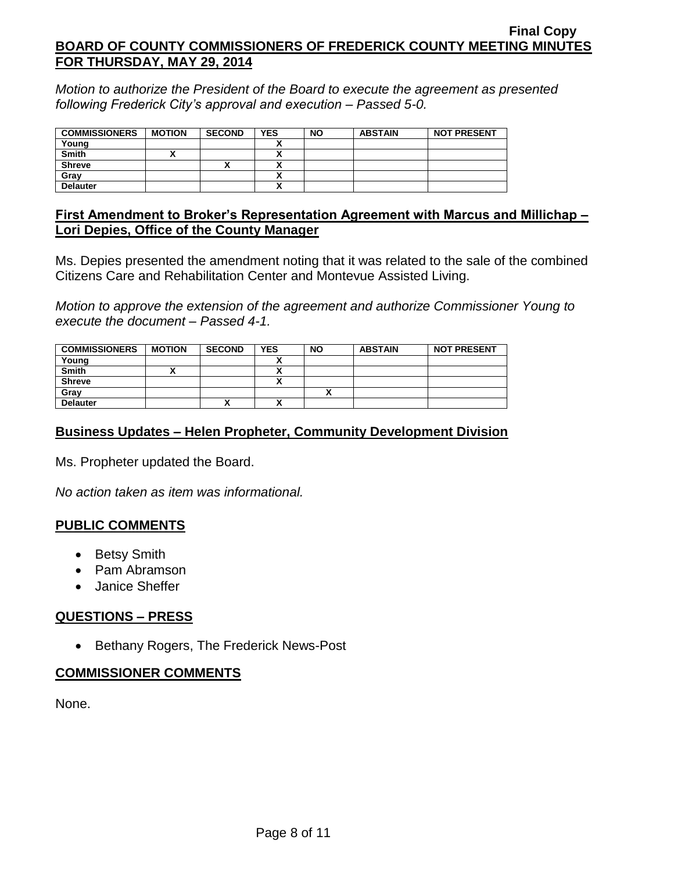*Motion to authorize the President of the Board to execute the agreement as presented following Frederick City's approval and execution – Passed 5-0.*

| <b>COMMISSIONERS</b> | <b>MOTION</b> | <b>SECOND</b> | <b>YES</b> | <b>NO</b> | <b>ABSTAIN</b> | <b>NOT PRESENT</b> |
|----------------------|---------------|---------------|------------|-----------|----------------|--------------------|
| Young                |               |               |            |           |                |                    |
| <b>Smith</b>         |               |               |            |           |                |                    |
| <b>Shreve</b>        |               | Λ             |            |           |                |                    |
| Gray                 |               |               |            |           |                |                    |
| <b>Delauter</b>      |               |               |            |           |                |                    |

### **First Amendment to Broker's Representation Agreement with Marcus and Millichap – Lori Depies, Office of the County Manager**

Ms. Depies presented the amendment noting that it was related to the sale of the combined Citizens Care and Rehabilitation Center and Montevue Assisted Living.

*Motion to approve the extension of the agreement and authorize Commissioner Young to execute the document – Passed 4-1.*

| <b>COMMISSIONERS</b> | <b>MOTION</b> | <b>SECOND</b> | <b>YES</b> | <b>NO</b> | <b>ABSTAIN</b> | <b>NOT PRESENT</b> |
|----------------------|---------------|---------------|------------|-----------|----------------|--------------------|
| Young                |               |               |            |           |                |                    |
| <b>Smith</b>         |               |               |            |           |                |                    |
| <b>Shreve</b>        |               |               |            |           |                |                    |
| Grav                 |               |               |            |           |                |                    |
| <b>Delauter</b>      |               | Λ             |            |           |                |                    |

# **Business Updates – Helen Propheter, Community Development Division**

Ms. Propheter updated the Board.

*No action taken as item was informational.*

## **PUBLIC COMMENTS**

- Betsy Smith
- Pam Abramson
- Janice Sheffer

## **QUESTIONS – PRESS**

• Bethany Rogers, The Frederick News-Post

#### **COMMISSIONER COMMENTS**

None.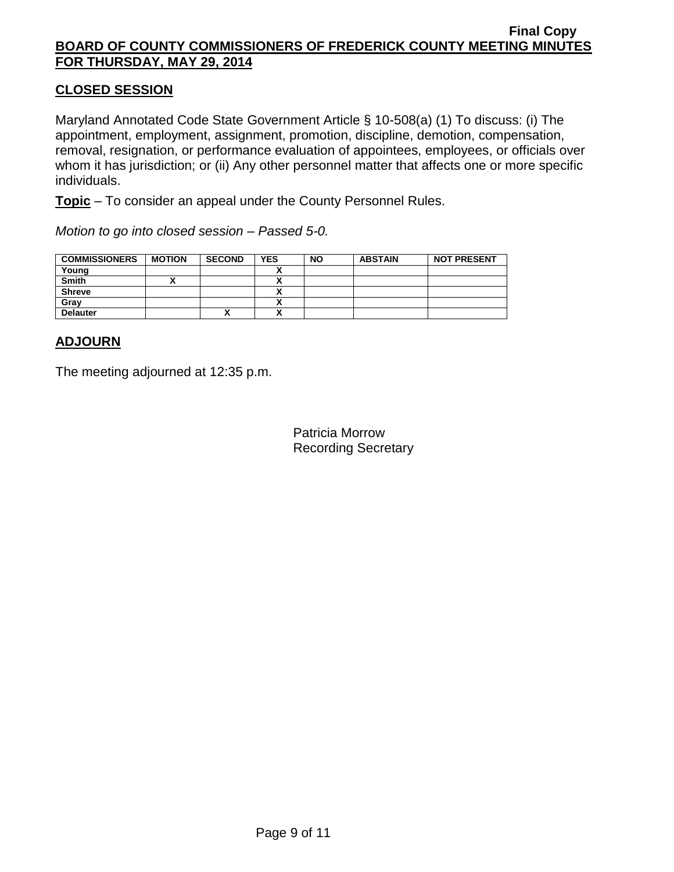# **CLOSED SESSION**

Maryland Annotated Code State Government Article § 10-508(a) (1) To discuss: (i) The appointment, employment, assignment, promotion, discipline, demotion, compensation, removal, resignation, or performance evaluation of appointees, employees, or officials over whom it has jurisdiction; or (ii) Any other personnel matter that affects one or more specific individuals.

**Topic** – To consider an appeal under the County Personnel Rules.

*Motion to go into closed session – Passed 5-0.*

| <b>COMMISSIONERS</b> | <b>MOTION</b> | <b>SECOND</b> | <b>YES</b> | <b>NO</b> | <b>ABSTAIN</b> | <b>NOT PRESENT</b> |
|----------------------|---------------|---------------|------------|-----------|----------------|--------------------|
| Young                |               |               |            |           |                |                    |
| <b>Smith</b>         |               |               |            |           |                |                    |
| <b>Shreve</b>        |               |               |            |           |                |                    |
| Gray                 |               |               |            |           |                |                    |
| <b>Delauter</b>      |               | Λ             |            |           |                |                    |

## **ADJOURN**

The meeting adjourned at 12:35 p.m.

Patricia Morrow Recording Secretary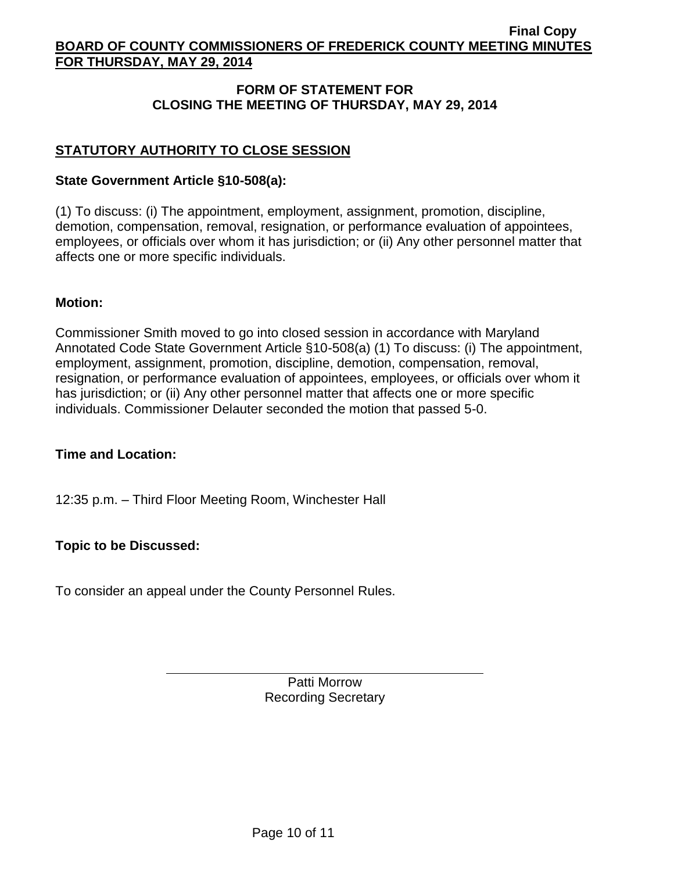# **FORM OF STATEMENT FOR CLOSING THE MEETING OF THURSDAY, MAY 29, 2014**

# **STATUTORY AUTHORITY TO CLOSE SESSION**

### **State Government Article §10-508(a):**

(1) To discuss: (i) The appointment, employment, assignment, promotion, discipline, demotion, compensation, removal, resignation, or performance evaluation of appointees, employees, or officials over whom it has jurisdiction; or (ii) Any other personnel matter that affects one or more specific individuals.

### **Motion:**

Commissioner Smith moved to go into closed session in accordance with Maryland Annotated Code State Government Article §10-508(a) (1) To discuss: (i) The appointment, employment, assignment, promotion, discipline, demotion, compensation, removal, resignation, or performance evaluation of appointees, employees, or officials over whom it has jurisdiction; or (ii) Any other personnel matter that affects one or more specific individuals. Commissioner Delauter seconded the motion that passed 5-0.

## **Time and Location:**

12:35 p.m. – Third Floor Meeting Room, Winchester Hall

## **Topic to be Discussed:**

To consider an appeal under the County Personnel Rules.

Patti Morrow Recording Secretary